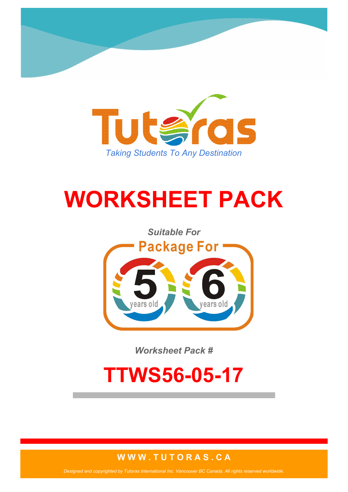

# **WORKSHEET PACK**



*Worksheet Pack #*

## **TTWS56-05-17**

#### **W W W . T U T O R A S . C A**

*Designed and copyrighted by Tutoras International Inc. Vancouver BC Canada. All rights reserved worldwide.*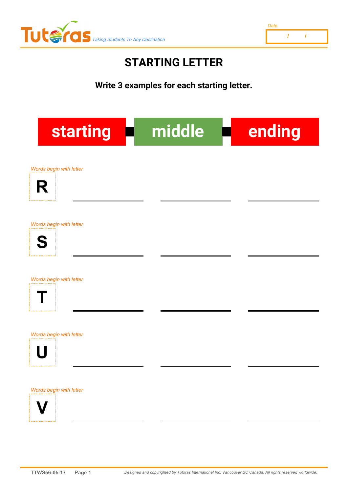

### **STARTING LETTER**

**Write 3 examples for each starting letter.**

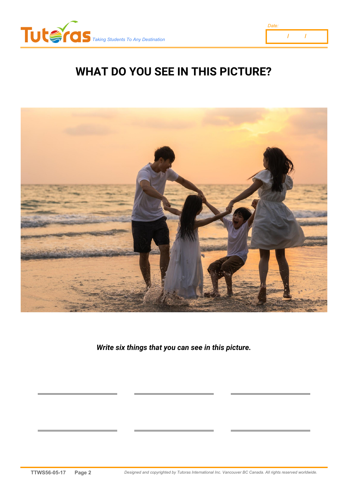



## **WHAT DO YOU SEE IN THIS PICTURE?**



*Write six things that you can see in this picture.*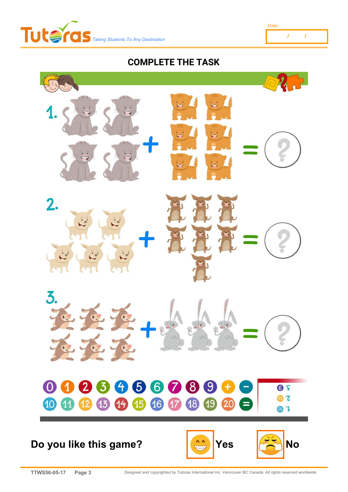

**COMPLETE THE TASK**

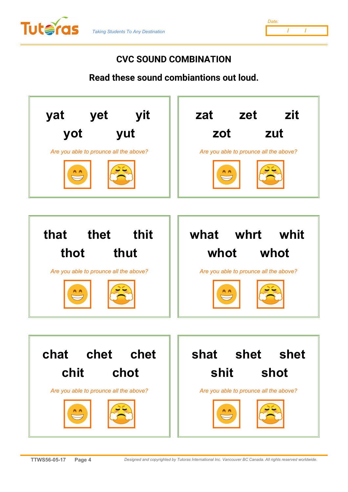

| Date: |  |  |
|-------|--|--|
|       |  |  |

#### **CVC SOUND COMBINATION**

**Read these sound combiantions out loud.**

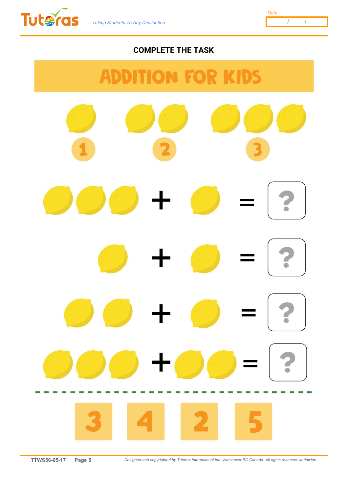



#### **COMPLETE THE TASK**